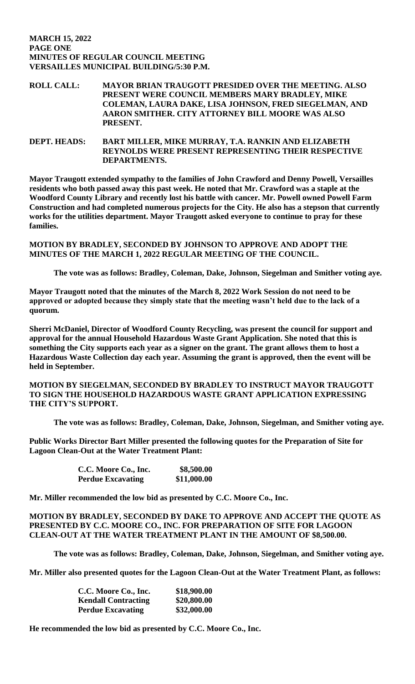## **MARCH 15, 2022 PAGE ONE MINUTES OF REGULAR COUNCIL MEETING VERSAILLES MUNICIPAL BUILDING/5:30 P.M.**

**ROLL CALL: MAYOR BRIAN TRAUGOTT PRESIDED OVER THE MEETING. ALSO PRESENT WERE COUNCIL MEMBERS MARY BRADLEY, MIKE COLEMAN, LAURA DAKE, LISA JOHNSON, FRED SIEGELMAN, AND AARON SMITHER. CITY ATTORNEY BILL MOORE WAS ALSO PRESENT.**

**DEPT. HEADS: BART MILLER, MIKE MURRAY, T.A. RANKIN AND ELIZABETH REYNOLDS WERE PRESENT REPRESENTING THEIR RESPECTIVE DEPARTMENTS.** 

**Mayor Traugott extended sympathy to the families of John Crawford and Denny Powell, Versailles residents who both passed away this past week. He noted that Mr. Crawford was a staple at the Woodford County Library and recently lost his battle with cancer. Mr. Powell owned Powell Farm Construction and had completed numerous projects for the City. He also has a stepson that currently works for the utilities department. Mayor Traugott asked everyone to continue to pray for these families.** 

**MOTION BY BRADLEY, SECONDED BY JOHNSON TO APPROVE AND ADOPT THE MINUTES OF THE MARCH 1, 2022 REGULAR MEETING OF THE COUNCIL.**

**The vote was as follows: Bradley, Coleman, Dake, Johnson, Siegelman and Smither voting aye.**

**Mayor Traugott noted that the minutes of the March 8, 2022 Work Session do not need to be approved or adopted because they simply state that the meeting wasn't held due to the lack of a quorum.** 

**Sherri McDaniel, Director of Woodford County Recycling, was present the council for support and approval for the annual Household Hazardous Waste Grant Application. She noted that this is something the City supports each year as a signer on the grant. The grant allows them to host a Hazardous Waste Collection day each year. Assuming the grant is approved, then the event will be held in September.** 

**MOTION BY SIEGELMAN, SECONDED BY BRADLEY TO INSTRUCT MAYOR TRAUGOTT TO SIGN THE HOUSEHOLD HAZARDOUS WASTE GRANT APPLICATION EXPRESSING THE CITY'S SUPPORT.**

**The vote was as follows: Bradley, Coleman, Dake, Johnson, Siegelman, and Smither voting aye.**

**Public Works Director Bart Miller presented the following quotes for the Preparation of Site for Lagoon Clean-Out at the Water Treatment Plant:**

| C.C. Moore Co., Inc.     | \$8,500.00  |
|--------------------------|-------------|
| <b>Perdue Excavating</b> | \$11,000.00 |

**Mr. Miller recommended the low bid as presented by C.C. Moore Co., Inc.**

### **MOTION BY BRADLEY, SECONDED BY DAKE TO APPROVE AND ACCEPT THE QUOTE AS PRESENTED BY C.C. MOORE CO., INC. FOR PREPARATION OF SITE FOR LAGOON CLEAN-OUT AT THE WATER TREATMENT PLANT IN THE AMOUNT OF \$8,500.00.**

**The vote was as follows: Bradley, Coleman, Dake, Johnson, Siegelman, and Smither voting aye.**

**Mr. Miller also presented quotes for the Lagoon Clean-Out at the Water Treatment Plant, as follows:**

| C.C. Moore Co., Inc.       | \$18,900.00 |
|----------------------------|-------------|
| <b>Kendall Contracting</b> | \$20,800.00 |
| <b>Perdue Excavating</b>   | \$32,000.00 |

**He recommended the low bid as presented by C.C. Moore Co., Inc.**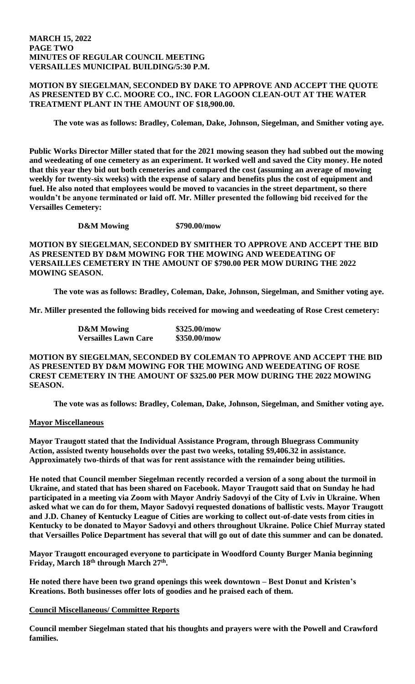### **MARCH 15, 2022 PAGE TWO MINUTES OF REGULAR COUNCIL MEETING VERSAILLES MUNICIPAL BUILDING/5:30 P.M.**

# **MOTION BY SIEGELMAN, SECONDED BY DAKE TO APPROVE AND ACCEPT THE QUOTE AS PRESENTED BY C.C. MOORE CO., INC. FOR LAGOON CLEAN-OUT AT THE WATER TREATMENT PLANT IN THE AMOUNT OF \$18,900.00.**

**The vote was as follows: Bradley, Coleman, Dake, Johnson, Siegelman, and Smither voting aye.**

**Public Works Director Miller stated that for the 2021 mowing season they had subbed out the mowing and weedeating of one cemetery as an experiment. It worked well and saved the City money. He noted that this year they bid out both cemeteries and compared the cost (assuming an average of mowing weekly for twenty-six weeks) with the expense of salary and benefits plus the cost of equipment and fuel. He also noted that employees would be moved to vacancies in the street department, so there wouldn't be anyone terminated or laid off. Mr. Miller presented the following bid received for the Versailles Cemetery:**

**D&M Mowing \$790.00/mow**

**MOTION BY SIEGELMAN, SECONDED BY SMITHER TO APPROVE AND ACCEPT THE BID AS PRESENTED BY D&M MOWING FOR THE MOWING AND WEEDEATING OF VERSAILLES CEMETERY IN THE AMOUNT OF \$790.00 PER MOW DURING THE 2022 MOWING SEASON.** 

**The vote was as follows: Bradley, Coleman, Dake, Johnson, Siegelman, and Smither voting aye.**

**Mr. Miller presented the following bids received for mowing and weedeating of Rose Crest cemetery:**

| <b>D&amp;M</b> Mowing       | \$325.00/mow |
|-----------------------------|--------------|
| <b>Versailles Lawn Care</b> | \$350.00/mow |

**MOTION BY SIEGELMAN, SECONDED BY COLEMAN TO APPROVE AND ACCEPT THE BID AS PRESENTED BY D&M MOWING FOR THE MOWING AND WEEDEATING OF ROSE CREST CEMETERY IN THE AMOUNT OF \$325.00 PER MOW DURING THE 2022 MOWING SEASON.** 

**The vote was as follows: Bradley, Coleman, Dake, Johnson, Siegelman, and Smither voting aye.**

# **Mayor Miscellaneous**

**Mayor Traugott stated that the Individual Assistance Program, through Bluegrass Community Action, assisted twenty households over the past two weeks, totaling \$9,406.32 in assistance. Approximately two-thirds of that was for rent assistance with the remainder being utilities.** 

**He noted that Council member Siegelman recently recorded a version of a song about the turmoil in Ukraine, and stated that has been shared on Facebook. Mayor Traugott said that on Sunday he had participated in a meeting via Zoom with Mayor Andriy Sadovyi of the City of Lviv in Ukraine. When asked what we can do for them, Mayor Sadovyi requested donations of ballistic vests. Mayor Traugott and J.D. Chaney of Kentucky League of Cities are working to collect out-of-date vests from cities in Kentucky to be donated to Mayor Sadovyi and others throughout Ukraine. Police Chief Murray stated that Versailles Police Department has several that will go out of date this summer and can be donated.** 

**Mayor Traugott encouraged everyone to participate in Woodford County Burger Mania beginning Friday, March 18th through March 27th .** 

**He noted there have been two grand openings this week downtown – Best Donut and Kristen's Kreations. Both businesses offer lots of goodies and he praised each of them.** 

# **Council Miscellaneous/ Committee Reports**

**Council member Siegelman stated that his thoughts and prayers were with the Powell and Crawford families.**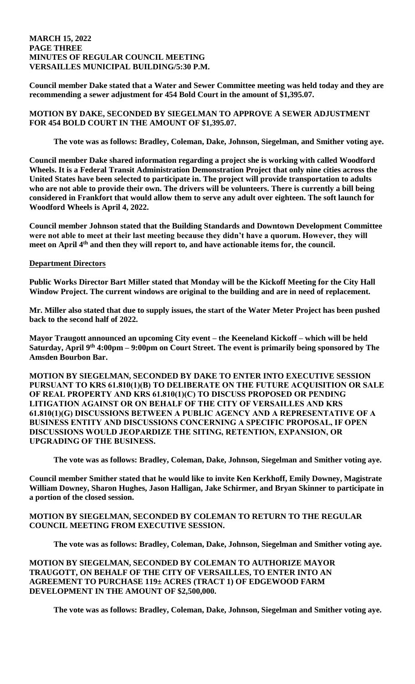## **MARCH 15, 2022 PAGE THREE MINUTES OF REGULAR COUNCIL MEETING VERSAILLES MUNICIPAL BUILDING/5:30 P.M.**

**Council member Dake stated that a Water and Sewer Committee meeting was held today and they are recommending a sewer adjustment for 454 Bold Court in the amount of \$1,395.07.** 

# **MOTION BY DAKE, SECONDED BY SIEGELMAN TO APPROVE A SEWER ADJUSTMENT FOR 454 BOLD COURT IN THE AMOUNT OF \$1,395.07.**

**The vote was as follows: Bradley, Coleman, Dake, Johnson, Siegelman, and Smither voting aye.**

**Council member Dake shared information regarding a project she is working with called Woodford Wheels. It is a Federal Transit Administration Demonstration Project that only nine cities across the United States have been selected to participate in. The project will provide transportation to adults who are not able to provide their own. The drivers will be volunteers. There is currently a bill being considered in Frankfort that would allow them to serve any adult over eighteen. The soft launch for Woodford Wheels is April 4, 2022.** 

**Council member Johnson stated that the Building Standards and Downtown Development Committee were not able to meet at their last meeting because they didn't have a quorum. However, they will meet on April 4th and then they will report to, and have actionable items for, the council.** 

## **Department Directors**

**Public Works Director Bart Miller stated that Monday will be the Kickoff Meeting for the City Hall Window Project. The current windows are original to the building and are in need of replacement.** 

**Mr. Miller also stated that due to supply issues, the start of the Water Meter Project has been pushed back to the second half of 2022.** 

**Mayor Traugott announced an upcoming City event – the Keeneland Kickoff – which will be held Saturday, April 9th 4:00pm – 9:00pm on Court Street. The event is primarily being sponsored by The Amsden Bourbon Bar.** 

**MOTION BY SIEGELMAN, SECONDED BY DAKE TO ENTER INTO EXECUTIVE SESSION PURSUANT TO KRS 61.810(1)(B) TO DELIBERATE ON THE FUTURE ACQUISITION OR SALE OF REAL PROPERTY AND KRS 61.810(1)(C) TO DISCUSS PROPOSED OR PENDING LITIGATION AGAINST OR ON BEHALF OF THE CITY OF VERSAILLES AND KRS 61.810(1)(G) DISCUSSIONS BETWEEN A PUBLIC AGENCY AND A REPRESENTATIVE OF A BUSINESS ENTITY AND DISCUSSIONS CONCERNING A SPECIFIC PROPOSAL, IF OPEN DISCUSSIONS WOULD JEOPARDIZE THE SITING, RETENTION, EXPANSION, OR UPGRADING OF THE BUSINESS.**

**The vote was as follows: Bradley, Coleman, Dake, Johnson, Siegelman and Smither voting aye.** 

**Council member Smither stated that he would like to invite Ken Kerkhoff, Emily Downey, Magistrate William Downey, Sharon Hughes, Jason Halligan, Jake Schirmer, and Bryan Skinner to participate in a portion of the closed session.** 

## **MOTION BY SIEGELMAN, SECONDED BY COLEMAN TO RETURN TO THE REGULAR COUNCIL MEETING FROM EXECUTIVE SESSION.**

**The vote was as follows: Bradley, Coleman, Dake, Johnson, Siegelman and Smither voting aye.** 

**MOTION BY SIEGELMAN, SECONDED BY COLEMAN TO AUTHORIZE MAYOR TRAUGOTT, ON BEHALF OF THE CITY OF VERSAILLES, TO ENTER INTO AN AGREEMENT TO PURCHASE 119± ACRES (TRACT 1) OF EDGEWOOD FARM DEVELOPMENT IN THE AMOUNT OF \$2,500,000.** 

**The vote was as follows: Bradley, Coleman, Dake, Johnson, Siegelman and Smither voting aye.**